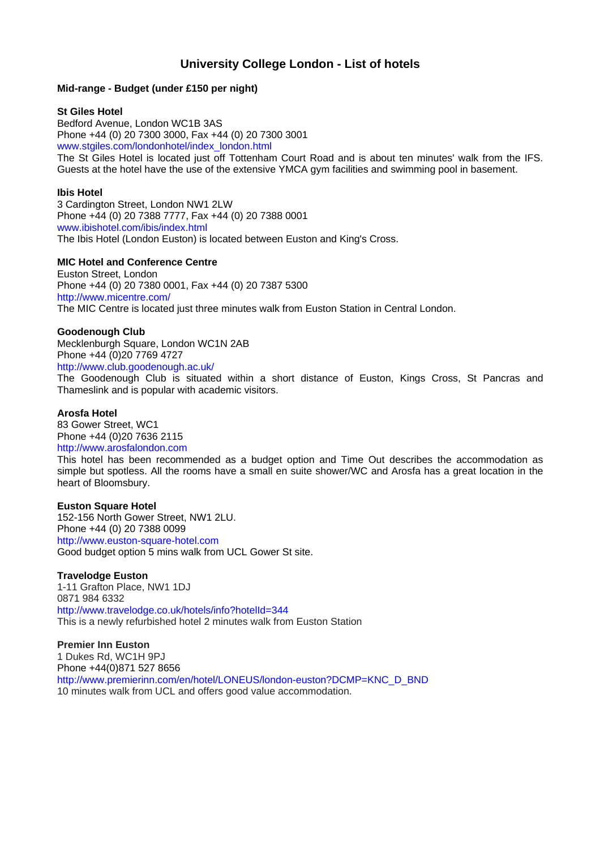# **University College London - List of hotels**

## **Mid-range - Budget (under £150 per night)**

#### **St Giles Hotel**

Bedford Avenue, London WC1B 3AS Phone +44 (0) 20 7300 3000, Fax +44 (0) 20 7300 3001 www.stgiles.com/londonhotel/index\_london.html

The St Giles Hotel is located just off Tottenham Court Road and is about ten minutes' walk from the IFS. Guests at the hotel have the use of the extensive YMCA gym facilities and swimming pool in basement.

## **Ibis Hotel**

3 Cardington Street, London NW1 2LW Phone +44 (0) 20 7388 7777, Fax +44 (0) 20 7388 0001 www.ibishotel.com/ibis/index.html The Ibis Hotel (London Euston) is located between Euston and King's Cross.

## **MIC Hotel and Conference Centre**

Euston Street, London Phone +44 (0) 20 7380 0001, Fax +44 (0) 20 7387 5300 http://www.micentre.com/ The MIC Centre is located just three minutes walk from Euston Station in Central London.

## **Goodenough Club**

Mecklenburgh Square, London WC1N 2AB Phone +44 (0)20 7769 4727

http://www.club.goodenough.ac.uk/

The Goodenough Club is situated within a short distance of Euston, Kings Cross, St Pancras and Thameslink and is popular with academic visitors.

#### **Arosfa Hotel**

83 Gower Street, WC1 Phone +44 (0)20 7636 2115 http://www.arosfalondon.com

This hotel has been recommended as a budget option and Time Out describes the accommodation as simple but spotless. All the rooms have a small en suite shower/WC and Arosfa has a great location in the heart of Bloomsbury.

#### **Euston Square Hotel**

152-156 North Gower Street, NW1 2LU. Phone +44 (0) 20 7388 0099 http://www.euston-square-hotel.com Good budget option 5 mins walk from UCL Gower St site.

# **Travelodge Euston**

1-11 Grafton Place, NW1 1DJ 0871 984 6332 http://www.travelodge.co.uk/hotels/info?hotelId=344 This is a newly refurbished hotel 2 minutes walk from Euston Station

**Premier Inn Euston**  1 Dukes Rd, WC1H 9PJ Phone +44(0)871 527 8656 http://www.premierinn.com/en/hotel/LONEUS/london-euston?DCMP=KNC\_D\_BND 10 minutes walk from UCL and offers good value accommodation.